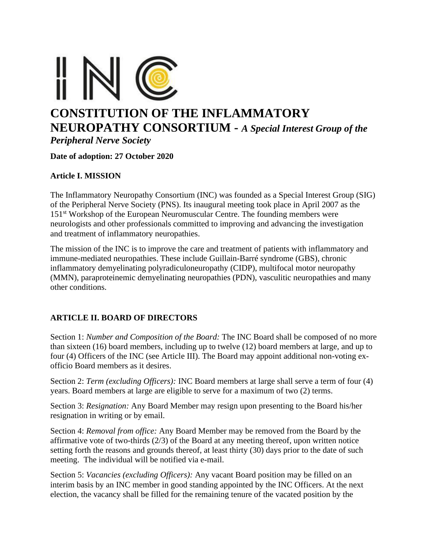

**Date of adoption: 27 October 2020**

### **Article I. MISSION**

The Inflammatory Neuropathy Consortium (INC) was founded as a Special Interest Group (SIG) of the Peripheral Nerve Society (PNS). Its inaugural meeting took place in April 2007 as the 151<sup>st</sup> Workshop of the European Neuromuscular Centre. The founding members were neurologists and other professionals committed to improving and advancing the investigation and treatment of inflammatory neuropathies.

The mission of the INC is to improve the care and treatment of patients with inflammatory and immune-mediated neuropathies. These include Guillain-Barré syndrome (GBS), chronic inflammatory demyelinating polyradiculoneuropathy (CIDP), multifocal motor neuropathy (MMN), paraproteinemic demyelinating neuropathies (PDN), vasculitic neuropathies and many other conditions.

### **ARTICLE II. BOARD OF DIRECTORS**

Section 1: *Number and Composition of the Board:* The INC Board shall be composed of no more than sixteen (16) board members, including up to twelve (12) board members at large, and up to four (4) Officers of the INC (see Article III). The Board may appoint additional non-voting exofficio Board members as it desires.

Section 2: *Term (excluding Officers):* INC Board members at large shall serve a term of four (4) years. Board members at large are eligible to serve for a maximum of two (2) terms.

Section 3: *Resignation:* Any Board Member may resign upon presenting to the Board his/her resignation in writing or by email.

Section 4: *Removal from office:* Any Board Member may be removed from the Board by the affirmative vote of two-thirds (2/3) of the Board at any meeting thereof, upon written notice setting forth the reasons and grounds thereof, at least thirty (30) days prior to the date of such meeting. The individual will be notified via e-mail.

Section 5: *Vacancies (excluding Officers):* Any vacant Board position may be filled on an interim basis by an INC member in good standing appointed by the INC Officers. At the next election, the vacancy shall be filled for the remaining tenure of the vacated position by the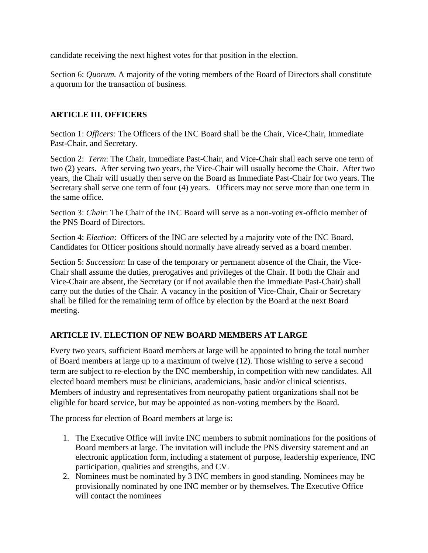candidate receiving the next highest votes for that position in the election.

Section 6: *Quorum.* A majority of the voting members of the Board of Directors shall constitute a quorum for the transaction of business.

## **ARTICLE III. OFFICERS**

Section 1: *Officers:* The Officers of the INC Board shall be the Chair, Vice-Chair, Immediate Past-Chair, and Secretary.

Section 2: *Term*: The Chair, Immediate Past-Chair, and Vice-Chair shall each serve one term of two (2) years. After serving two years, the Vice-Chair will usually become the Chair. After two years, the Chair will usually then serve on the Board as Immediate Past-Chair for two years. The Secretary shall serve one term of four (4) years. Officers may not serve more than one term in the same office.

Section 3: *Chair*: The Chair of the INC Board will serve as a non-voting ex-officio member of the PNS Board of Directors.

Section 4: *Election*: Officers of the INC are selected by a majority vote of the INC Board. Candidates for Officer positions should normally have already served as a board member.

Section 5: *Succession*: In case of the temporary or permanent absence of the Chair, the Vice-Chair shall assume the duties, prerogatives and privileges of the Chair. If both the Chair and Vice-Chair are absent, the Secretary (or if not available then the Immediate Past-Chair) shall carry out the duties of the Chair. A vacancy in the position of Vice-Chair, Chair or Secretary shall be filled for the remaining term of office by election by the Board at the next Board meeting.

# **ARTICLE IV. ELECTION OF NEW BOARD MEMBERS AT LARGE**

Every two years, sufficient Board members at large will be appointed to bring the total number of Board members at large up to a maximum of twelve (12). Those wishing to serve a second term are subject to re-election by the INC membership, in competition with new candidates. All elected board members must be clinicians, academicians, basic and/or clinical scientists. Members of industry and representatives from neuropathy patient organizations shall not be eligible for board service, but may be appointed as non-voting members by the Board.

The process for election of Board members at large is:

- 1. The Executive Office will invite INC members to submit nominations for the positions of Board members at large. The invitation will include the PNS diversity statement and an electronic application form, including a statement of purpose, leadership experience, INC participation, qualities and strengths, and CV.
- 2. Nominees must be nominated by 3 INC members in good standing. Nominees may be provisionally nominated by one INC member or by themselves. The Executive Office will contact the nominees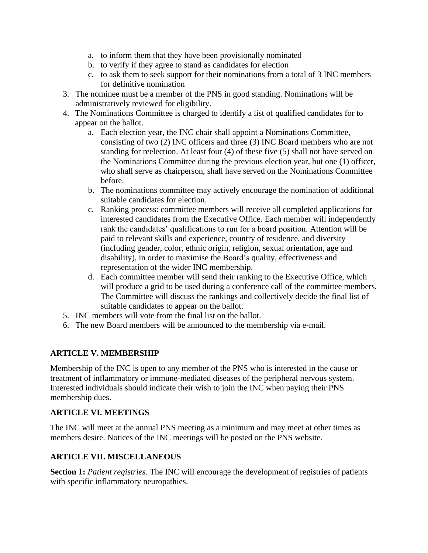- a. to inform them that they have been provisionally nominated
- b. to verify if they agree to stand as candidates for election
- c. to ask them to seek support for their nominations from a total of 3 INC members for definitive nomination
- 3. The nominee must be a member of the PNS in good standing. Nominations will be administratively reviewed for eligibility.
- 4. The Nominations Committee is charged to identify a list of qualified candidates for to appear on the ballot.
	- a. Each election year, the INC chair shall appoint a Nominations Committee, consisting of two (2) INC officers and three (3) INC Board members who are not standing for reelection. At least four (4) of these five (5) shall not have served on the Nominations Committee during the previous election year, but one (1) officer, who shall serve as chairperson, shall have served on the Nominations Committee before.
	- b. The nominations committee may actively encourage the nomination of additional suitable candidates for election.
	- c. Ranking process: committee members will receive all completed applications for interested candidates from the Executive Office. Each member will independently rank the candidates' qualifications to run for a board position. Attention will be paid to relevant skills and experience, country of residence, and diversity (including gender, color, ethnic origin, religion, sexual orientation, age and disability), in order to maximise the Board's quality, effectiveness and representation of the wider INC membership.
	- d. Each committee member will send their ranking to the Executive Office, which will produce a grid to be used during a conference call of the committee members. The Committee will discuss the rankings and collectively decide the final list of suitable candidates to appear on the ballot.
- 5. INC members will vote from the final list on the ballot.
- 6. The new Board members will be announced to the membership via e-mail.

# **ARTICLE V. MEMBERSHIP**

Membership of the INC is open to any member of the PNS who is interested in the cause or treatment of inflammatory or immune-mediated diseases of the peripheral nervous system. Interested individuals should indicate their wish to join the INC when paying their PNS membership dues.

### **ARTICLE VI. MEETINGS**

The INC will meet at the annual PNS meeting as a minimum and may meet at other times as members desire. Notices of the INC meetings will be posted on the PNS website.

# **ARTICLE VII. MISCELLANEOUS**

**Section 1:** *Patient registries*. The INC will encourage the development of registries of patients with specific inflammatory neuropathies.